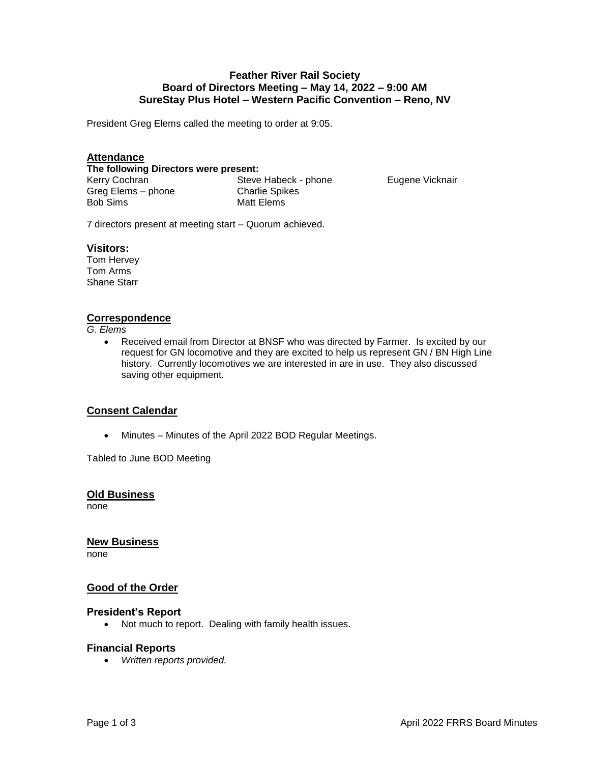### **Feather River Rail Society Board of Directors Meeting – May 14, 2022 – 9:00 AM SureStay Plus Hotel – Western Pacific Convention – Reno, NV**

President Greg Elems called the meeting to order at 9:05.

# **Attendance**

**The following Directors were present:** 

Kerry Cochran Greg Elems – phone Bob Sims

Steve Habeck - phone Charlie Spikes Matt Elems

Eugene Vicknair

7 directors present at meeting start – Quorum achieved.

#### **Visitors:**

Tom Hervey Tom Arms Shane Starr

### **Correspondence**

*G. Elems*

 Received email from Director at BNSF who was directed by Farmer. Is excited by our request for GN locomotive and they are excited to help us represent GN / BN High Line history. Currently locomotives we are interested in are in use. They also discussed saving other equipment.

### **Consent Calendar**

Minutes – Minutes of the April 2022 BOD Regular Meetings.

Tabled to June BOD Meeting

**Old Business**

none

**New Business**

none

### **Good of the Order**

#### **President's Report**

Not much to report. Dealing with family health issues.

### **Financial Reports**

*Written reports provided.*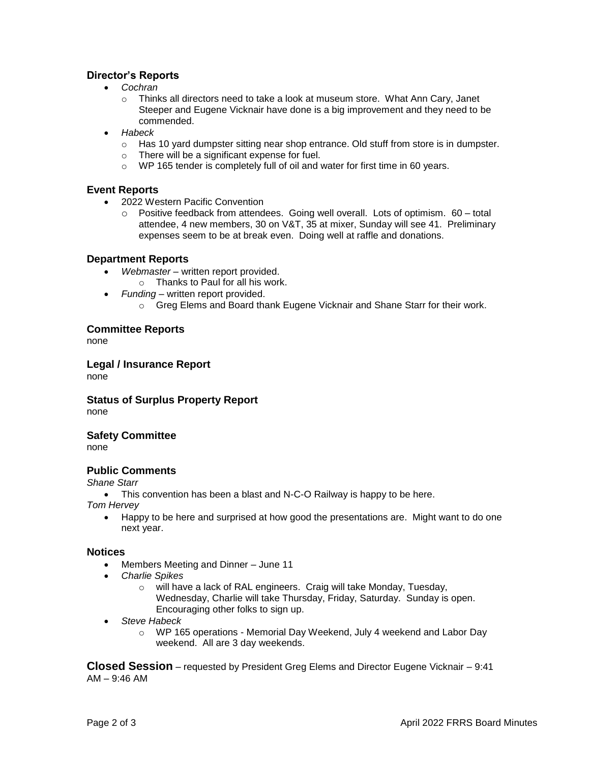# **Director's Reports**

- *Cochran*
	- $\circ$  Thinks all directors need to take a look at museum store. What Ann Cary, Janet Steeper and Eugene Vicknair have done is a big improvement and they need to be commended.
- *Habeck*
	- $\circ$  Has 10 yard dumpster sitting near shop entrance. Old stuff from store is in dumpster.
	- o There will be a significant expense for fuel.
	- o WP 165 tender is completely full of oil and water for first time in 60 years.

# **Event Reports**

- 2022 Western Pacific Convention
	- $\circ$  Positive feedback from attendees. Going well overall. Lots of optimism.  $60 -$ total attendee, 4 new members, 30 on V&T, 35 at mixer, Sunday will see 41. Preliminary expenses seem to be at break even. Doing well at raffle and donations.

# **Department Reports**

- *Webmaster* written report provided.
	- o Thanks to Paul for all his work.
- *Funding*  written report provided.
	- $\circ$  Greg Elems and Board thank Eugene Vicknair and Shane Starr for their work.

# **Committee Reports**

none

**Legal / Insurance Report**

none

**Status of Surplus Property Report** none

### **Safety Committee**

none

# **Public Comments**

*Shane Starr*

• This convention has been a blast and N-C-O Railway is happy to be here.

*Tom Hervey* 

 Happy to be here and surprised at how good the presentations are. Might want to do one next year.

### **Notices**

- Members Meeting and Dinner June 11
- *Charlie Spikes*
	- o will have a lack of RAL engineers. Craig will take Monday, Tuesday, Wednesday, Charlie will take Thursday, Friday, Saturday. Sunday is open. Encouraging other folks to sign up.
- *Steve Habeck*
	- o WP 165 operations Memorial Day Weekend, July 4 weekend and Labor Day weekend. All are 3 day weekends.

**Closed Session** – requested by President Greg Elems and Director Eugene Vicknair – 9:41 AM – 9:46 AM